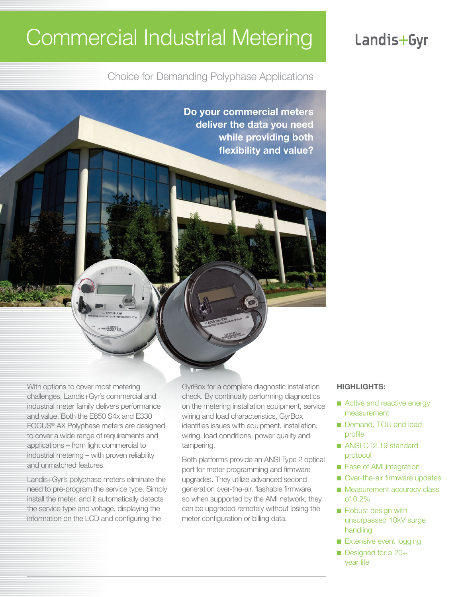# Commercial Industrial Metering

# Landis+Gyr

Choice for Demanding Polyphase Applications

**Do your commercial meters deliver the data you need while providing both flexibility and value?**

With options to cover most metering challenges, Landis+Gyr's commercial and industrial meter family delivers performance and value. Both the E650 S4x and E330 FOCUS® AX Polyphase meters are designed to cover a wide range of requirements and applications – from light commercial to industrial metering – with proven reliability and unmatched features.

Landis+Gyr's polyphase meters eliminate the need to pre-program the service type. Simply install the meter, and it automatically detects the service type and voltage, displaying the information on the LCD and configuring the

GyrBox for a complete diagnostic installation check. By continually performing diagnostics on the metering installation equipment, service wiring and load characteristics, GyrBox identifies issues with equipment, installation, wiring, load conditions, power quality and tampering.

Both platforms provide an ANSI Type 2 optical port for meter programming and firmware upgrades. They utilize advanced second generation over-the-air, flashable firmware, so when supported by the AMI network, they can be upgraded remotely without losing the meter configuration or billing data.

#### **HIGHLIGHTS:**

- Active and reactive energy measurement
- Demand, TOU and load profile
- ANSI C12.19 standard protocol
- Ease of AMI integration
- Over-the-air firmware updates
- Measurement accuracy class of 0.2%
- Robust design with unsurpassed 10kV surge handling
- Extensive event logging
- Designed for a 20+ year life